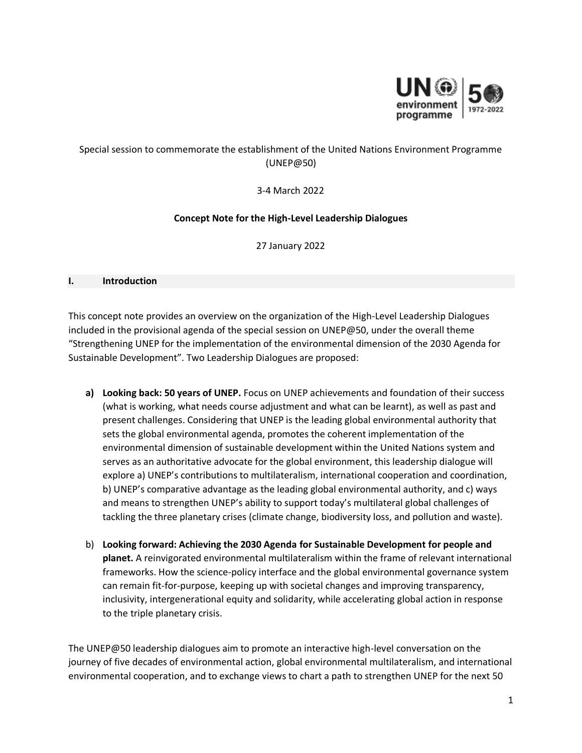

# Special session to commemorate the establishment of the United Nations Environment Programme (UNEP@50)

3-4 March 2022

### **Concept Note for the High-Level Leadership Dialogues**

27 January 2022

#### **I. Introduction**

This concept note provides an overview on the organization of the High-Level Leadership Dialogues included in the provisional agenda of the special session on UNEP@50, under the overall theme "Strengthening UNEP for the implementation of the environmental dimension of the 2030 Agenda for Sustainable Development". Two Leadership Dialogues are proposed:

- **a) Looking back: 50 years of UNEP.** Focus on UNEP achievements and foundation of their success (what is working, what needs course adjustment and what can be learnt), as well as past and present challenges. Considering that UNEP is the leading global environmental authority that sets the global environmental agenda, promotes the coherent implementation of the environmental dimension of sustainable development within the United Nations system and serves as an authoritative advocate for the global environment, this leadership dialogue will explore a) UNEP's contributions to multilateralism, international cooperation and coordination, b) UNEP's comparative advantage as the leading global environmental authority, and c) ways and means to strengthen UNEP's ability to support today's multilateral global challenges of tackling the three planetary crises (climate change, biodiversity loss, and pollution and waste).
- b) **Looking forward: Achieving the 2030 Agenda for Sustainable Development for people and planet.** A reinvigorated environmental multilateralism within the frame of relevant international frameworks. How the science-policy interface and the global environmental governance system can remain fit-for-purpose, keeping up with societal changes and improving transparency, inclusivity, intergenerational equity and solidarity, while accelerating global action in response to the triple planetary crisis.

The UNEP@50 leadership dialogues aim to promote an interactive high-level conversation on the journey of five decades of environmental action, global environmental multilateralism, and international environmental cooperation, and to exchange views to chart a path to strengthen UNEP for the next 50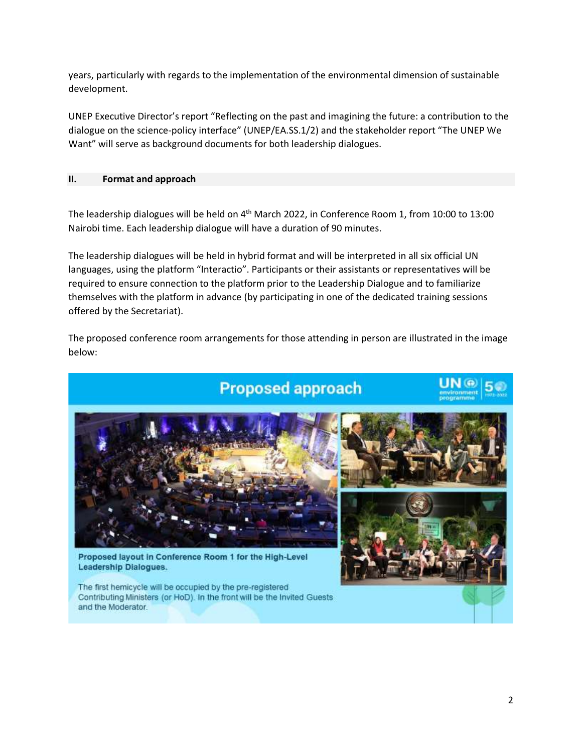years, particularly with regards to the implementation of the environmental dimension of sustainable development.

UNEP Executive Director's report "Reflecting on the past and imagining the future: a contribution to the dialogue on the science-policy interface" (UNEP/EA.SS.1/2) and the stakeholder report "The UNEP We Want" will serve as background documents for both leadership dialogues.

## **II. Format and approach**

The leadership dialogues will be held on 4<sup>th</sup> March 2022, in Conference Room 1, from 10:00 to 13:00 Nairobi time. Each leadership dialogue will have a duration of 90 minutes.

The leadership dialogues will be held in hybrid format and will be interpreted in all six official UN languages, using the platform "Interactio". Participants or their assistants or representatives will be required to ensure connection to the platform prior to the Leadership Dialogue and to familiarize themselves with the platform in advance (by participating in one of the dedicated training sessions offered by the Secretariat).

The proposed conference room arrangements for those attending in person are illustrated in the image below:

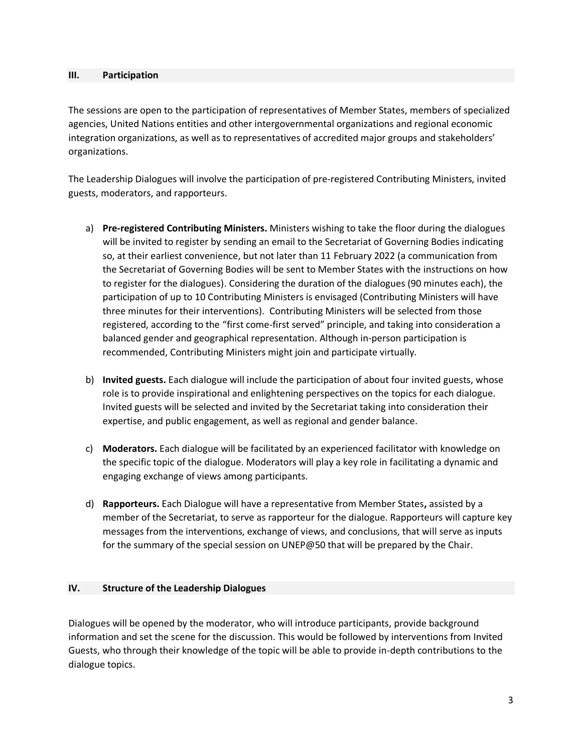#### **III. Participation**

The sessions are open to the participation of representatives of Member States, members of specialized agencies, United Nations entities and other intergovernmental organizations and regional economic integration organizations, as well as to representatives of accredited major groups and stakeholders' organizations.

The Leadership Dialogues will involve the participation of pre-registered Contributing Ministers, invited guests, moderators, and rapporteurs.

- a) **Pre-registered Contributing Ministers.** Ministers wishing to take the floor during the dialogues will be invited to register by sending an email to the Secretariat of Governing Bodies indicating so, at their earliest convenience, but not later than 11 February 2022 (a communication from the Secretariat of Governing Bodies will be sent to Member States with the instructions on how to register for the dialogues). Considering the duration of the dialogues (90 minutes each), the participation of up to 10 Contributing Ministers is envisaged (Contributing Ministers will have three minutes for their interventions). Contributing Ministers will be selected from those registered, according to the "first come-first served" principle, and taking into consideration a balanced gender and geographical representation. Although in-person participation is recommended, Contributing Ministers might join and participate virtually.
- b) **Invited guests.** Each dialogue will include the participation of about four invited guests, whose role is to provide inspirational and enlightening perspectives on the topics for each dialogue. Invited guests will be selected and invited by the Secretariat taking into consideration their expertise, and public engagement, as well as regional and gender balance.
- c) **Moderators.** Each dialogue will be facilitated by an experienced facilitator with knowledge on the specific topic of the dialogue. Moderators will play a key role in facilitating a dynamic and engaging exchange of views among participants.
- d) **Rapporteurs.** Each Dialogue will have a representative from Member States**,** assisted by a member of the Secretariat, to serve as rapporteur for the dialogue. Rapporteurs will capture key messages from the interventions, exchange of views, and conclusions, that will serve as inputs for the summary of the special session on UNEP@50 that will be prepared by the Chair.

### **IV. Structure of the Leadership Dialogues**

Dialogues will be opened by the moderator, who will introduce participants, provide background information and set the scene for the discussion. This would be followed by interventions from Invited Guests, who through their knowledge of the topic will be able to provide in-depth contributions to the dialogue topics.